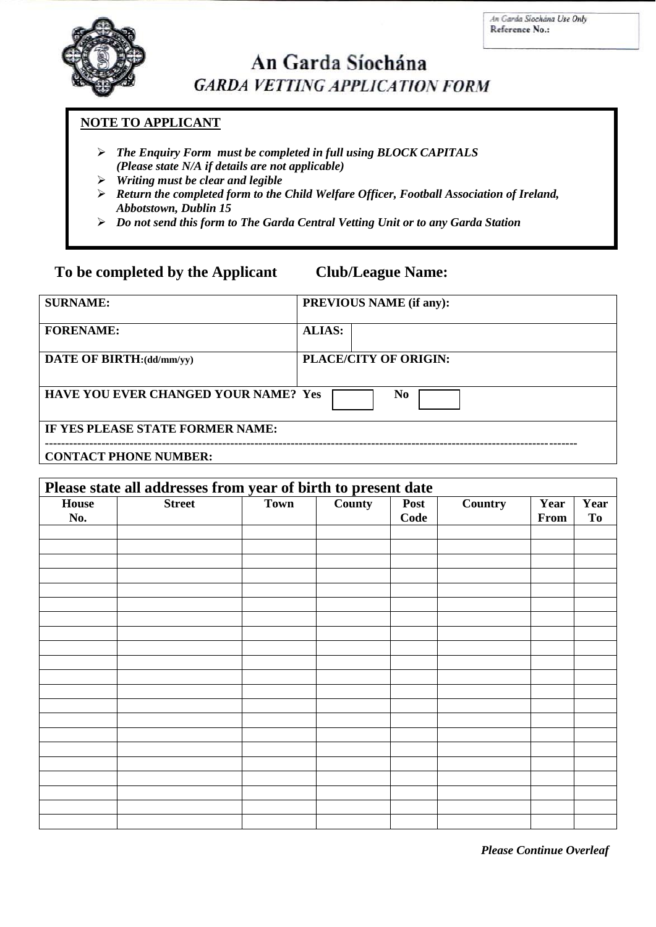

# An Garda Síochána **GARDA VETTING APPLICATION FORM**

## **NOTE TO APPLICANT**

- *The Enquiry Form must be completed in full using BLOCK CAPITALS (Please state N/A if details are not applicable)*
- *Writing must be clear and legible*
- *Return the completed form to the Child Welfare Officer, Football Association of Ireland, Abbotstown, Dublin 15*
- *Do not send this form to The Garda Central Vetting Unit or to any Garda Station*

## **To be completed by the Applicant Club/League Name:**

| <b>SURNAME:</b>                                               | <b>PREVIOUS NAME (if any):</b> |  |  |
|---------------------------------------------------------------|--------------------------------|--|--|
| <b>FORENAME:</b>                                              | <b>ALIAS:</b>                  |  |  |
| DATE OF BIRTH:(dd/mm/yy)                                      | PLACE/CITY OF ORIGIN:          |  |  |
| <b>HAVE YOU EVER CHANGED YOUR NAME? Yes</b><br>N <sub>0</sub> |                                |  |  |
| IF YES PLEASE STATE FORMER NAME:                              |                                |  |  |
| <b>CONTACT PHONE NUMBER:</b>                                  |                                |  |  |

| Please state all addresses from year of birth to present date |               |             |        |      |                |      |           |
|---------------------------------------------------------------|---------------|-------------|--------|------|----------------|------|-----------|
| <b>House</b>                                                  | <b>Street</b> | <b>Town</b> | County | Post | <b>Country</b> | Year | Year      |
| No.                                                           |               |             |        | Code |                | From | <b>To</b> |
|                                                               |               |             |        |      |                |      |           |
|                                                               |               |             |        |      |                |      |           |
|                                                               |               |             |        |      |                |      |           |
|                                                               |               |             |        |      |                |      |           |
|                                                               |               |             |        |      |                |      |           |
|                                                               |               |             |        |      |                |      |           |
|                                                               |               |             |        |      |                |      |           |
|                                                               |               |             |        |      |                |      |           |
|                                                               |               |             |        |      |                |      |           |
|                                                               |               |             |        |      |                |      |           |
|                                                               |               |             |        |      |                |      |           |
|                                                               |               |             |        |      |                |      |           |
|                                                               |               |             |        |      |                |      |           |
|                                                               |               |             |        |      |                |      |           |
|                                                               |               |             |        |      |                |      |           |
|                                                               |               |             |        |      |                |      |           |
|                                                               |               |             |        |      |                |      |           |
|                                                               |               |             |        |      |                |      |           |
|                                                               |               |             |        |      |                |      |           |
|                                                               |               |             |        |      |                |      |           |
|                                                               |               |             |        |      |                |      |           |

*Please Continue Overleaf*